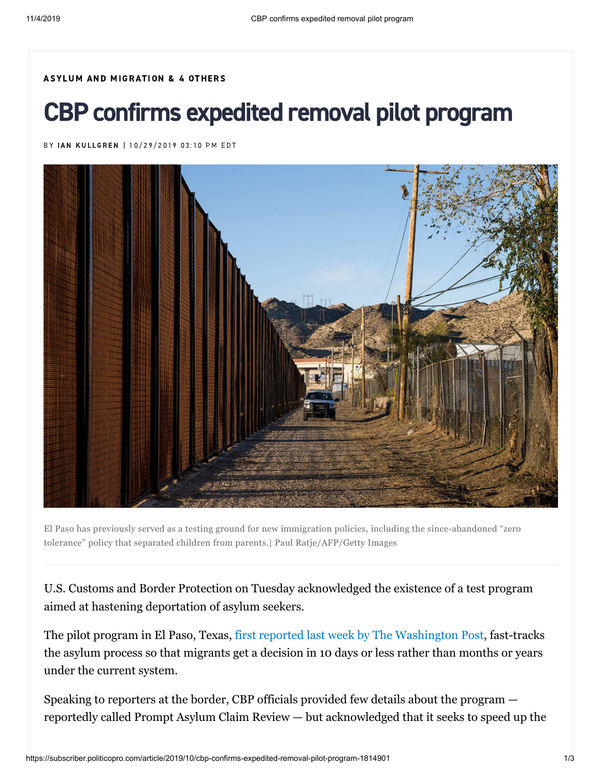## ASYLUM AND [MIGRATION](https://subscriber.politicopro.com/topic/09.06.01.00) & 4 OTHERS

## CBP confirms expedited removal pilot program

BY IAN [KUL](https://subscriber.politicopro.com/staff/ian-kullgren)LGREN | 10/29/2019 03:10 PM EDT



El Paso has previously served as a testing ground for new immigration policies, including the since-abandoned "zero tolerance" policy that separated children from parents.| Paul Ratje/AFP/Getty Images

U.S. Customs and Border Protection on Tuesday acknowledged the existence of a test program aimed at hastening deportation of asylum seekers.

The pilot program in El Paso, Texas, [first reported last week by The Washington Post](https://www.washingtonpost.com/immigration/trump-administration-testing-rapid-asylum-review-deportation-process-in-texas/2019/10/24/caa91a62-f5d8-11e9-a285-882a8e386a96_story.html), fast-tracks the asylum process so that migrants get a decision in 10 days or less rather than months or years under the current system.

Speaking to reporters at the border, CBP officials provided few details about the program reportedly called Prompt Asylum Claim Review — but acknowledged that it seeks to speed up the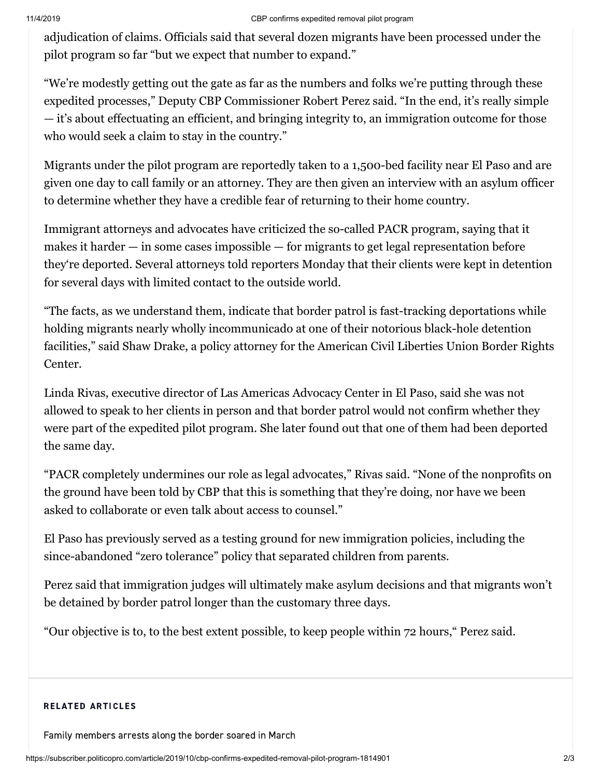## 11/4/2019 CBP confirms expedited removal pilot program

adjudication of claims. Officials said that several dozen migrants have been processed under the pilot program so far "but we expect that number to expand."

"We're modestly getting out the gate as far as the numbers and folks we're putting through these expedited processes," Deputy CBP Commissioner Robert Perez said. "In the end, it's really simple — it's about effectuating an efficient, and bringing integrity to, an immigration outcome for those who would seek a claim to stay in the country."

Migrants under the pilot program are reportedly taken to a 1,500-bed facility near El Paso and are given one day to call family or an attorney. They are then given an interview with an asylum officer to determine whether they have a credible fear of returning to their home country.

Immigrant attorneys and advocates have criticized the so-called PACR program, saying that it makes it harder — in some cases impossible — for migrants to get legal representation before they're deported. Several attorneys told reporters Monday that their clients were kept in detention for several days with limited contact to the outside world.

"The facts, as we understand them, indicate that border patrol is fast-tracking deportations while holding migrants nearly wholly incommunicado at one of their notorious black-hole detention facilities," said Shaw Drake, a policy attorney for the American Civil Liberties Union Border Rights Center.

Linda Rivas, executive director of Las Americas Advocacy Center in El Paso, said she was not allowed to speak to her clients in person and that border patrol would not confirm whether they were part of the expedited pilot program. She later found out that one of them had been deported the same day.

"PACR completely undermines our role as legal advocates," Rivas said. "None of the nonprofits on the ground have been told by CBP that this is something that they're doing, nor have we been asked to collaborate or even talk about access to counsel."

El Paso has previously served as a testing ground for new immigration policies, including the since-abandoned "zero tolerance" policy that separated children from parents.

Perez said that immigration judges will ultimately make asylum decisions and that migrants won't be detained by border patrol longer than the customary three days.

"Our objective is to, to the best extent possible, to keep people within 72 hours," Perez said.

## RELATED ARTICLES

[Family members arrests along the border soared in March](https://subscriber.politicopro.com/article/2019/03/family-members-arrests-along-the-border-soared-in-march-1301098)